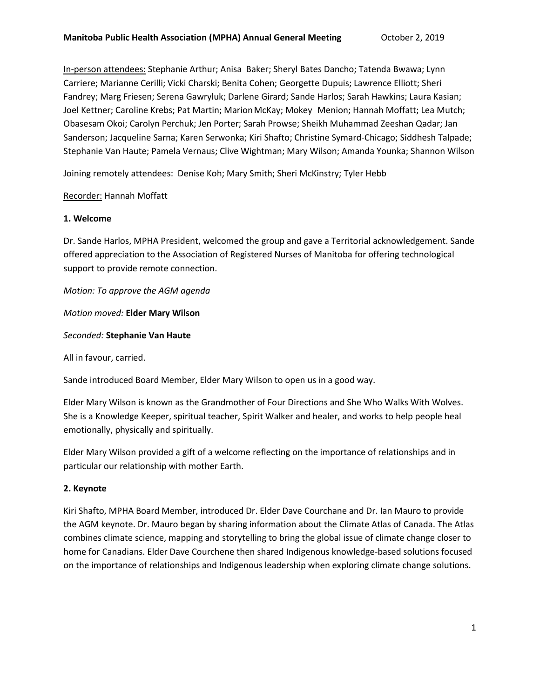In-person attendees: Stephanie Arthur; Anisa Baker; Sheryl Bates Dancho; Tatenda Bwawa; Lynn Carriere; Marianne Cerilli; Vicki Charski; Benita Cohen; Georgette Dupuis; Lawrence Elliott; Sheri Fandrey; Marg Friesen; Serena Gawryluk; Darlene Girard; Sande Harlos; Sarah Hawkins; Laura Kasian; Joel Kettner; Caroline Krebs; Pat Martin; Marion McKay; Mokey Menion; Hannah Moffatt; Lea Mutch; Obasesam Okoi; Carolyn Perchuk; Jen Porter; Sarah Prowse; Sheikh Muhammad Zeeshan Qadar; Jan Sanderson; Jacqueline Sarna; Karen Serwonka; Kiri Shafto; Christine Symard-Chicago; Siddhesh Talpade; Stephanie Van Haute; Pamela Vernaus; Clive Wightman; Mary Wilson; Amanda Younka; Shannon Wilson

Joining remotely attendees: Denise Koh; Mary Smith; Sheri McKinstry; Tyler Hebb

### Recorder: Hannah Moffatt

### **1. Welcome**

Dr. Sande Harlos, MPHA President, welcomed the group and gave a Territorial acknowledgement. Sande offered appreciation to the Association of Registered Nurses of Manitoba for offering technological support to provide remote connection.

*Motion: To approve the AGM agenda*

*Motion moved:* **Elder Mary Wilson**

### *Seconded:* **Stephanie Van Haute**

All in favour, carried.

Sande introduced Board Member, Elder Mary Wilson to open us in a good way.

Elder Mary Wilson is known as the Grandmother of Four Directions and She Who Walks With Wolves. She is a Knowledge Keeper, spiritual teacher, Spirit Walker and healer, and works to help people heal emotionally, physically and spiritually.

Elder Mary Wilson provided a gift of a welcome reflecting on the importance of relationships and in particular our relationship with mother Earth.

# **2. Keynote**

Kiri Shafto, MPHA Board Member, introduced Dr. Elder Dave Courchane and Dr. Ian Mauro to provide the AGM keynote. Dr. Mauro began by sharing information about the Climate Atlas of Canada. The Atlas combines climate science, mapping and storytelling to bring the global issue of climate change closer to home for Canadians. Elder Dave Courchene then shared Indigenous knowledge-based solutions focused on the importance of relationships and Indigenous leadership when exploring climate change solutions.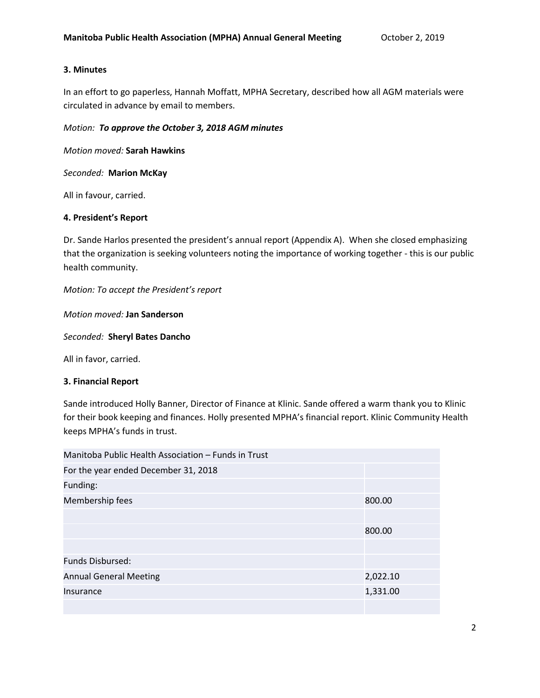### **3. Minutes**

In an effort to go paperless, Hannah Moffatt, MPHA Secretary, described how all AGM materials were circulated in advance by email to members.

### *Motion: To approve the October 3, 2018 AGM minutes*

*Motion moved:* **Sarah Hawkins**

*Seconded:* **Marion McKay**

All in favour, carried.

## **4. President's Report**

Dr. Sande Harlos presented the president's annual report (Appendix A). When she closed emphasizing that the organization is seeking volunteers noting the importance of working together - this is our public health community.

*Motion: To accept the President's report*

*Motion moved:* **Jan Sanderson**

*Seconded:* **Sheryl Bates Dancho**

All in favor, carried.

### **3. Financial Report**

Sande introduced Holly Banner, Director of Finance at Klinic. Sande offered a warm thank you to Klinic for their book keeping and finances. Holly presented MPHA's financial report. Klinic Community Health keeps MPHA's funds in trust.

| Manitoba Public Health Association – Funds in Trust |          |
|-----------------------------------------------------|----------|
| For the year ended December 31, 2018                |          |
| Funding:                                            |          |
| Membership fees                                     | 800.00   |
|                                                     |          |
|                                                     | 800.00   |
|                                                     |          |
| <b>Funds Disbursed:</b>                             |          |
| <b>Annual General Meeting</b>                       | 2,022.10 |
| Insurance                                           | 1,331.00 |
|                                                     |          |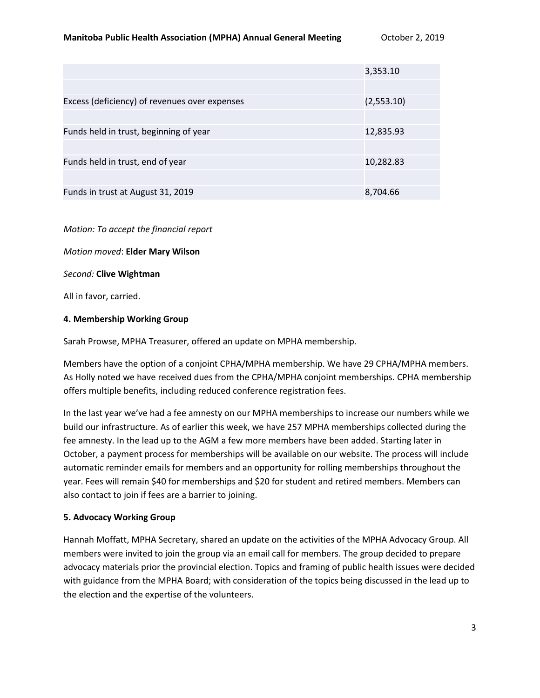|                                               | 3,353.10   |
|-----------------------------------------------|------------|
|                                               |            |
| Excess (deficiency) of revenues over expenses | (2,553.10) |
|                                               |            |
| Funds held in trust, beginning of year        | 12,835.93  |
|                                               |            |
| Funds held in trust, end of year              | 10,282.83  |
|                                               |            |
| Funds in trust at August 31, 2019             | 8,704.66   |

*Motion: To accept the financial report*

*Motion moved*: **Elder Mary Wilson**

*Second:* **Clive Wightman**

All in favor, carried.

#### **4. Membership Working Group**

Sarah Prowse, MPHA Treasurer, offered an update on MPHA membership.

Members have the option of a conjoint CPHA/MPHA membership. We have 29 CPHA/MPHA members. As Holly noted we have received dues from the CPHA/MPHA conjoint memberships. CPHA membership offers multiple benefits, including reduced conference registration fees.

In the last year we've had a fee amnesty on our MPHA memberships to increase our numbers while we build our infrastructure. As of earlier this week, we have 257 MPHA memberships collected during the fee amnesty. In the lead up to the AGM a few more members have been added. Starting later in October, a payment process for memberships will be available on our website. The process will include automatic reminder emails for members and an opportunity for rolling memberships throughout the year. Fees will remain \$40 for memberships and \$20 for student and retired members. Members can also contact to join if fees are a barrier to joining.

### **5. Advocacy Working Group**

Hannah Moffatt, MPHA Secretary, shared an update on the activities of the MPHA Advocacy Group. All members were invited to join the group via an email call for members. The group decided to prepare advocacy materials prior the provincial election. Topics and framing of public health issues were decided with guidance from the MPHA Board; with consideration of the topics being discussed in the lead up to the election and the expertise of the volunteers.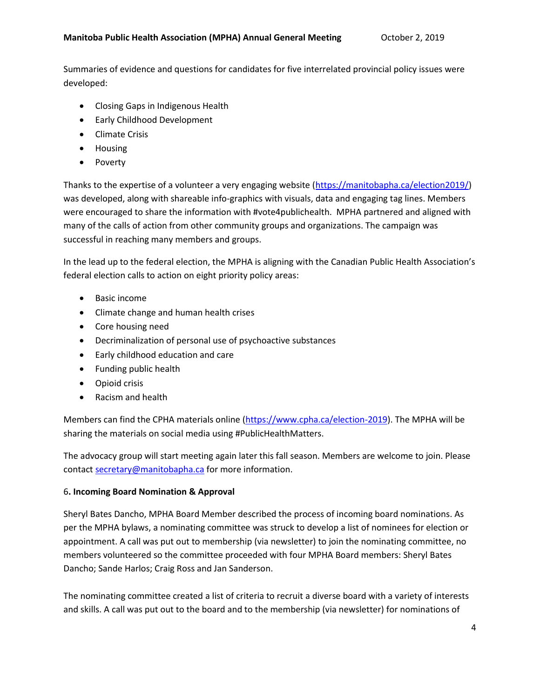Summaries of evidence and questions for candidates for five interrelated provincial policy issues were developed:

- Closing Gaps in Indigenous Health
- Early Childhood Development
- Climate Crisis
- Housing
- Poverty

Thanks to the expertise of a volunteer a very engaging website [\(https://manitobapha.ca/election2019/\)](https://manitobapha.ca/election2019/) was developed, along with shareable info-graphics with visuals, data and engaging tag lines. Members were encouraged to share the information with #vote4publichealth. MPHA partnered and aligned with many of the calls of action from other community groups and organizations. The campaign was successful in reaching many members and groups.

In the lead up to the federal election, the MPHA is aligning with the Canadian Public Health Association's federal election calls to action on eight priority policy areas:

- Basic income
- Climate change and human health crises
- Core housing need
- Decriminalization of personal use of psychoactive substances
- Early childhood education and care
- Funding public health
- Opioid crisis
- Racism and health

Members can find the CPHA materials online [\(https://www.cpha.ca/election-2019\)](https://www.cpha.ca/election-2019). The MPHA will be sharing the materials on social media using #PublicHealthMatters.

The advocacy group will start meeting again later this fall season. Members are welcome to join. Please contact [secretary@manitobapha.ca](mailto:secretary@manitobapha.ca) for more information.

# 6**. Incoming Board Nomination & Approval**

Sheryl Bates Dancho, MPHA Board Member described the process of incoming board nominations. As per the MPHA bylaws, a nominating committee was struck to develop a list of nominees for election or appointment. A call was put out to membership (via newsletter) to join the nominating committee, no members volunteered so the committee proceeded with four MPHA Board members: Sheryl Bates Dancho; Sande Harlos; Craig Ross and Jan Sanderson.

The nominating committee created a list of criteria to recruit a diverse board with a variety of interests and skills. A call was put out to the board and to the membership (via newsletter) for nominations of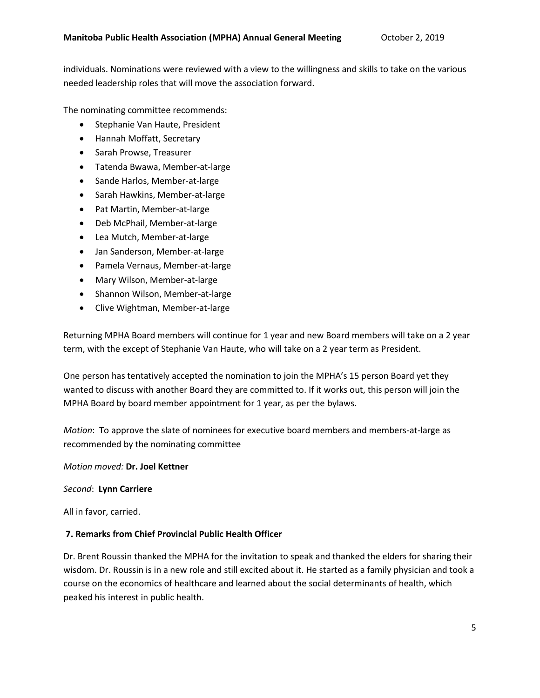individuals. Nominations were reviewed with a view to the willingness and skills to take on the various needed leadership roles that will move the association forward.

The nominating committee recommends:

- Stephanie Van Haute, President
- Hannah Moffatt, Secretary
- **•** Sarah Prowse, Treasurer
- Tatenda Bwawa, Member-at-large
- Sande Harlos, Member-at-large
- Sarah Hawkins, Member-at-large
- Pat Martin, Member-at-large
- Deb McPhail, Member-at-large
- Lea Mutch, Member-at-large
- Jan Sanderson, Member-at-large
- Pamela Vernaus, Member-at-large
- Mary Wilson, Member-at-large
- Shannon Wilson, Member-at-large
- Clive Wightman, Member-at-large

Returning MPHA Board members will continue for 1 year and new Board members will take on a 2 year term, with the except of Stephanie Van Haute, who will take on a 2 year term as President.

One person has tentatively accepted the nomination to join the MPHA's 15 person Board yet they wanted to discuss with another Board they are committed to. If it works out, this person will join the MPHA Board by board member appointment for 1 year, as per the bylaws.

*Motion*: To approve the slate of nominees for executive board members and members-at-large as recommended by the nominating committee

#### *Motion moved:* **Dr. Joel Kettner**

#### *Second*: **Lynn Carriere**

All in favor, carried.

### **7. Remarks from Chief Provincial Public Health Officer**

Dr. Brent Roussin thanked the MPHA for the invitation to speak and thanked the elders for sharing their wisdom. Dr. Roussin is in a new role and still excited about it. He started as a family physician and took a course on the economics of healthcare and learned about the social determinants of health, which peaked his interest in public health.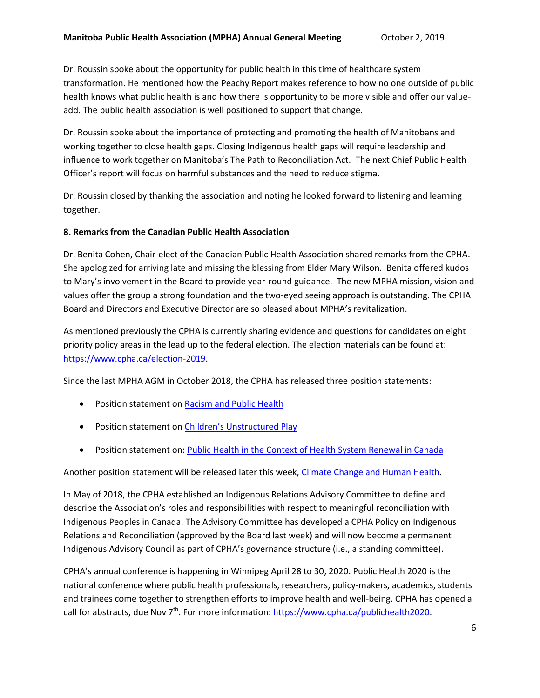Dr. Roussin spoke about the opportunity for public health in this time of healthcare system transformation. He mentioned how the Peachy Report makes reference to how no one outside of public health knows what public health is and how there is opportunity to be more visible and offer our valueadd. The public health association is well positioned to support that change.

Dr. Roussin spoke about the importance of protecting and promoting the health of Manitobans and working together to close health gaps. Closing Indigenous health gaps will require leadership and influence to work together on Manitoba's The Path to Reconciliation Act. The next Chief Public Health Officer's report will focus on harmful substances and the need to reduce stigma.

Dr. Roussin closed by thanking the association and noting he looked forward to listening and learning together.

### **8. Remarks from the Canadian Public Health Association**

Dr. Benita Cohen, Chair-elect of the Canadian Public Health Association shared remarks from the CPHA. She apologized for arriving late and missing the blessing from Elder Mary Wilson. Benita offered kudos to Mary's involvement in the Board to provide year-round guidance. The new MPHA mission, vision and values offer the group a strong foundation and the two-eyed seeing approach is outstanding. The CPHA Board and Directors and Executive Director are so pleased about MPHA's revitalization.

As mentioned previously the CPHA is currently sharing evidence and questions for candidates on eight priority policy areas in the lead up to the federal election. The election materials can be found at: [https://www.cpha.ca/election-2019.](https://www.cpha.ca/election-2019)

Since the last MPHA AGM in October 2018, the CPHA has released three position statements:

- Position statement on [Racism and Public Health](https://www.cpha.ca/racism-and-public-health)
- Position statement on [Children's Unstructured Play](https://www.cpha.ca/childrens-unstructured-play)
- Position statement on: [Public Health in the Context of Health System Renewal in Canada](https://www.cpha.ca/public-health-context-health-system-renewal-canada)

Another position statement will be released later this week, [Climate Change and Human Health.](https://www.cpha.ca/climate-change-and-human-health)

In May of 2018, the CPHA established an Indigenous Relations Advisory Committee to define and describe the Association's roles and responsibilities with respect to meaningful reconciliation with Indigenous Peoples in Canada. The Advisory Committee has developed a CPHA Policy on Indigenous Relations and Reconciliation (approved by the Board last week) and will now become a permanent Indigenous Advisory Council as part of CPHA's governance structure (i.e., a standing committee).

CPHA's annual conference is happening in Winnipeg April 28 to 30, 2020. Public Health 2020 is the national conference where public health professionals, researchers, policy-makers, academics, students and trainees come together to strengthen efforts to improve health and well-being. CPHA has opened a call for abstracts, due Nov 7<sup>th</sup>. For more information: [https://www.cpha.ca/publichealth2020.](https://www.cpha.ca/publichealth2020)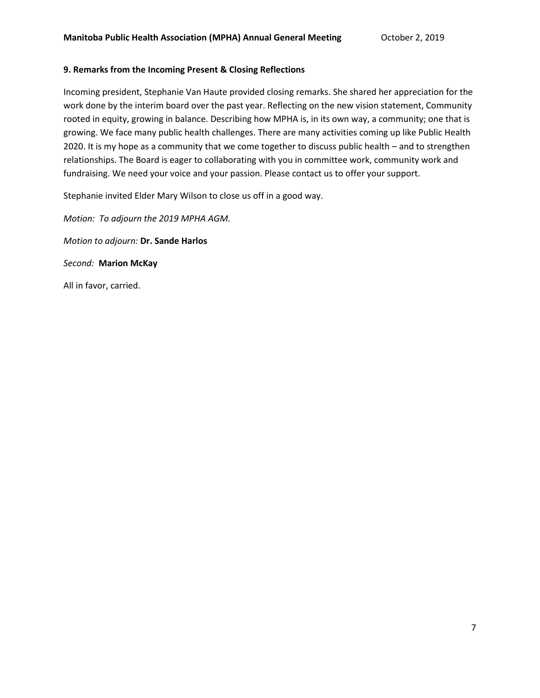### **9. Remarks from the Incoming Present & Closing Reflections**

Incoming president, Stephanie Van Haute provided closing remarks. She shared her appreciation for the work done by the interim board over the past year. Reflecting on the new vision statement, Community rooted in equity, growing in balance. Describing how MPHA is, in its own way, a community; one that is growing. We face many public health challenges. There are many activities coming up like Public Health 2020. It is my hope as a community that we come together to discuss public health – and to strengthen relationships. The Board is eager to collaborating with you in committee work, community work and fundraising. We need your voice and your passion. Please contact us to offer your support.

Stephanie invited Elder Mary Wilson to close us off in a good way.

*Motion: To adjourn the 2019 MPHA AGM. Motion to adjourn:* **Dr. Sande Harlos** *Second:* **Marion McKay** All in favor, carried.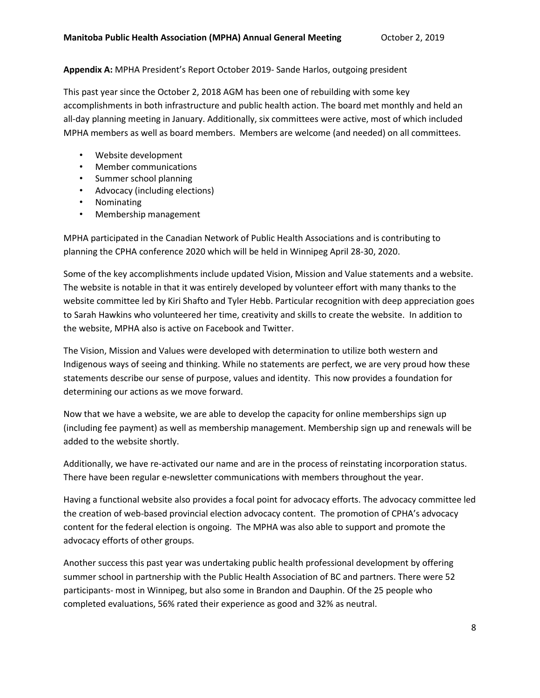# **Appendix A:** MPHA President's Report October 2019- Sande Harlos, outgoing president

This past year since the October 2, 2018 AGM has been one of rebuilding with some key accomplishments in both infrastructure and public health action. The board met monthly and held an all-day planning meeting in January. Additionally, six committees were active, most of which included MPHA members as well as board members. Members are welcome (and needed) on all committees.

- Website development
- Member communications
- Summer school planning
- Advocacy (including elections)
- Nominating
- Membership management

MPHA participated in the Canadian Network of Public Health Associations and is contributing to planning the CPHA conference 2020 which will be held in Winnipeg April 28-30, 2020.

Some of the key accomplishments include updated Vision, Mission and Value statements and a website. The website is notable in that it was entirely developed by volunteer effort with many thanks to the website committee led by Kiri Shafto and Tyler Hebb. Particular recognition with deep appreciation goes to Sarah Hawkins who volunteered her time, creativity and skills to create the website. In addition to the website, MPHA also is active on Facebook and Twitter.

The Vision, Mission and Values were developed with determination to utilize both western and Indigenous ways of seeing and thinking. While no statements are perfect, we are very proud how these statements describe our sense of purpose, values and identity. This now provides a foundation for determining our actions as we move forward.

Now that we have a website, we are able to develop the capacity for online memberships sign up (including fee payment) as well as membership management. Membership sign up and renewals will be added to the website shortly.

Additionally, we have re-activated our name and are in the process of reinstating incorporation status. There have been regular e-newsletter communications with members throughout the year.

Having a functional website also provides a focal point for advocacy efforts. The advocacy committee led the creation of web-based provincial election advocacy content. The promotion of CPHA's advocacy content for the federal election is ongoing. The MPHA was also able to support and promote the advocacy efforts of other groups.

Another success this past year was undertaking public health professional development by offering summer school in partnership with the Public Health Association of BC and partners. There were 52 participants- most in Winnipeg, but also some in Brandon and Dauphin. Of the 25 people who completed evaluations, 56% rated their experience as good and 32% as neutral.